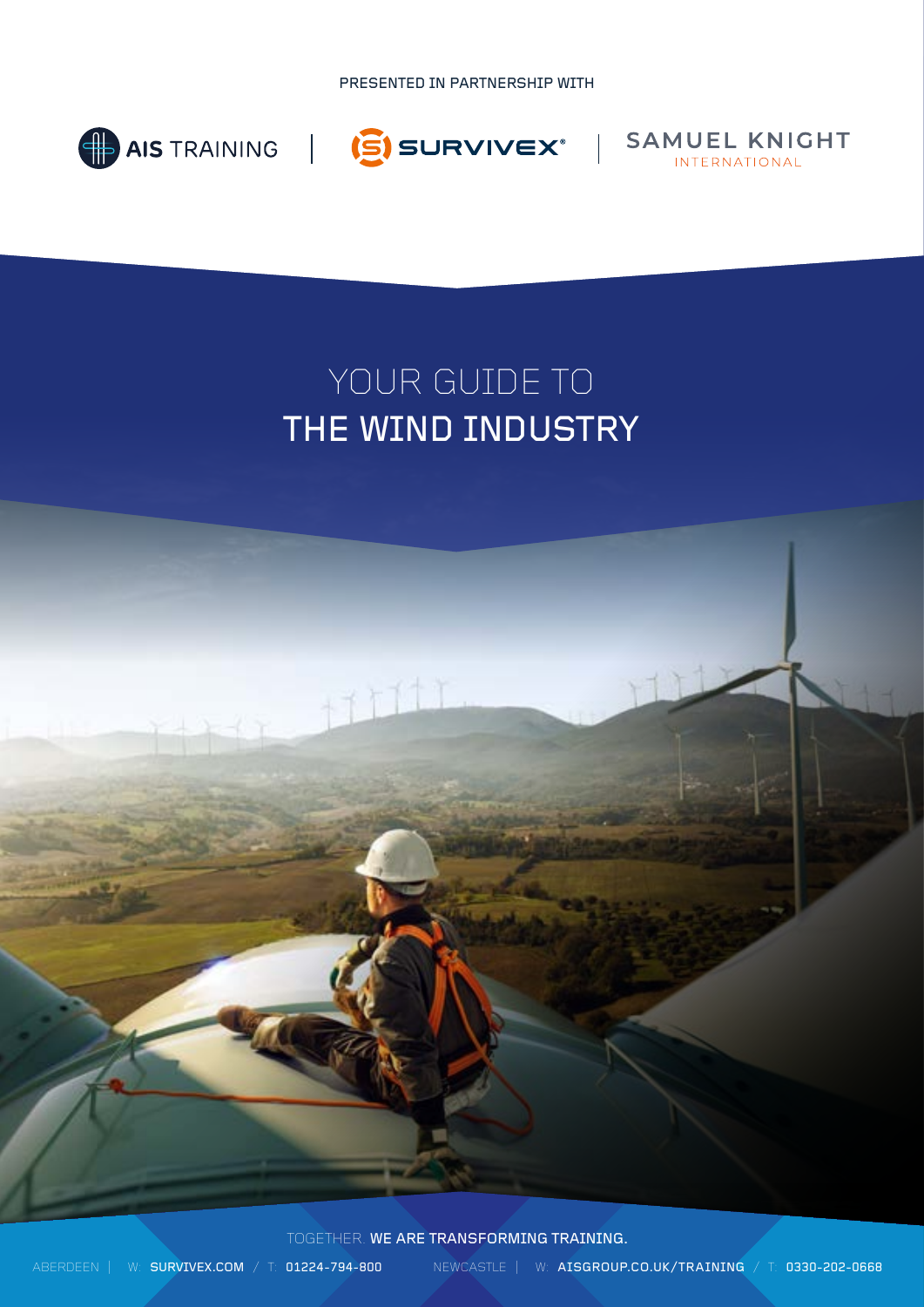PRESENTED IN PARTNERSHIP WITH







# YOUR GUIDE TO THE WIND INDUSTRY

TOGETHER. WE ARE TRANSFORMING TRAINING.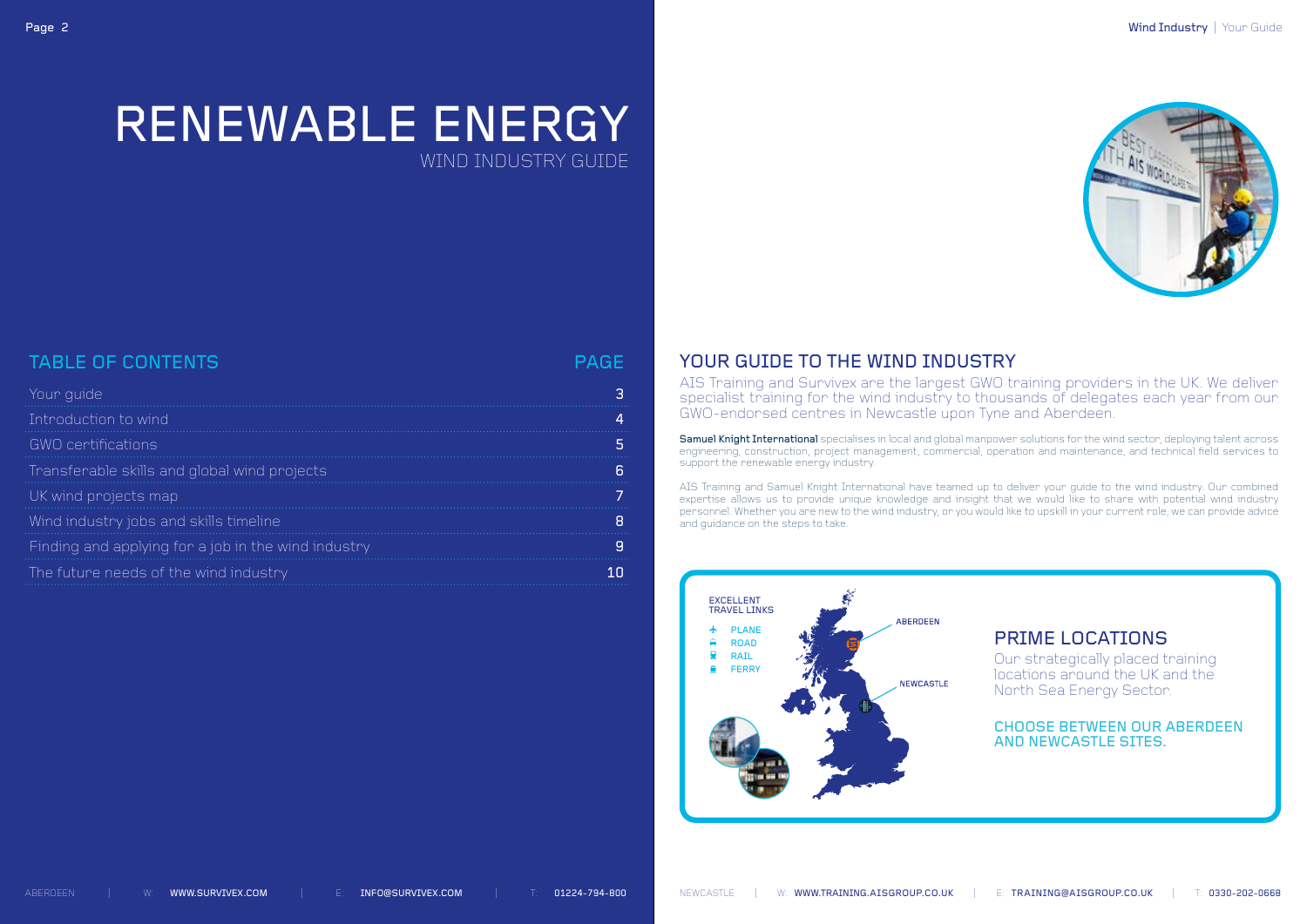

# RENEWABLE ENERGY WIND INDUSTRY GUIDE

# TABLE OF CONTENTS And the state of the state of the state of the page of the state of the state of the page of

| Your guide                                          | З  |
|-----------------------------------------------------|----|
| Introduction to wind                                | 4  |
| GWO certifications                                  | 5  |
| Transferable skills and global wind projects        | ĥ  |
| UK wind projects map                                |    |
| Wind industry jobs and skill <u>s timeline</u>      | 8  |
| Finding and applying for a job in the wind industry | 9  |
| The future needs of the wind industry,              | 1Π |

### YOUR GUIDE TO THE WIND INDUSTRY

AIS Training and Survivex are the largest GWO training providers in the UK. We deliver specialist training for the wind industry to thousands of delegates each year from our GWO-endorsed centres in Newcastle upon Tyne and Aberdeen.

Samuel Knight International specialises in local and global manpower solutions for the wind sector, deploying talent across engineering, construction, project management, commercial, operation and maintenance, and technical field services to support the renewable energy industry.

AIS Training and Samuel Knight International have teamed up to deliver your guide to the wind industry. Our combined expertise allows us to provide unique knowledge and insight that we would like to share with potential wind industry personnel. Whether you are new to the wind industry, or you would like to upskill in your current role, we can provide advice and guidance on the steps to take.

### PRIME LOCATIONS

Our strategically placed training locations around the UK and the North Sea Energy Sector.

CHOOSE BETWEEN OUR ABERDEEN AND NEWCASTLE SITES.

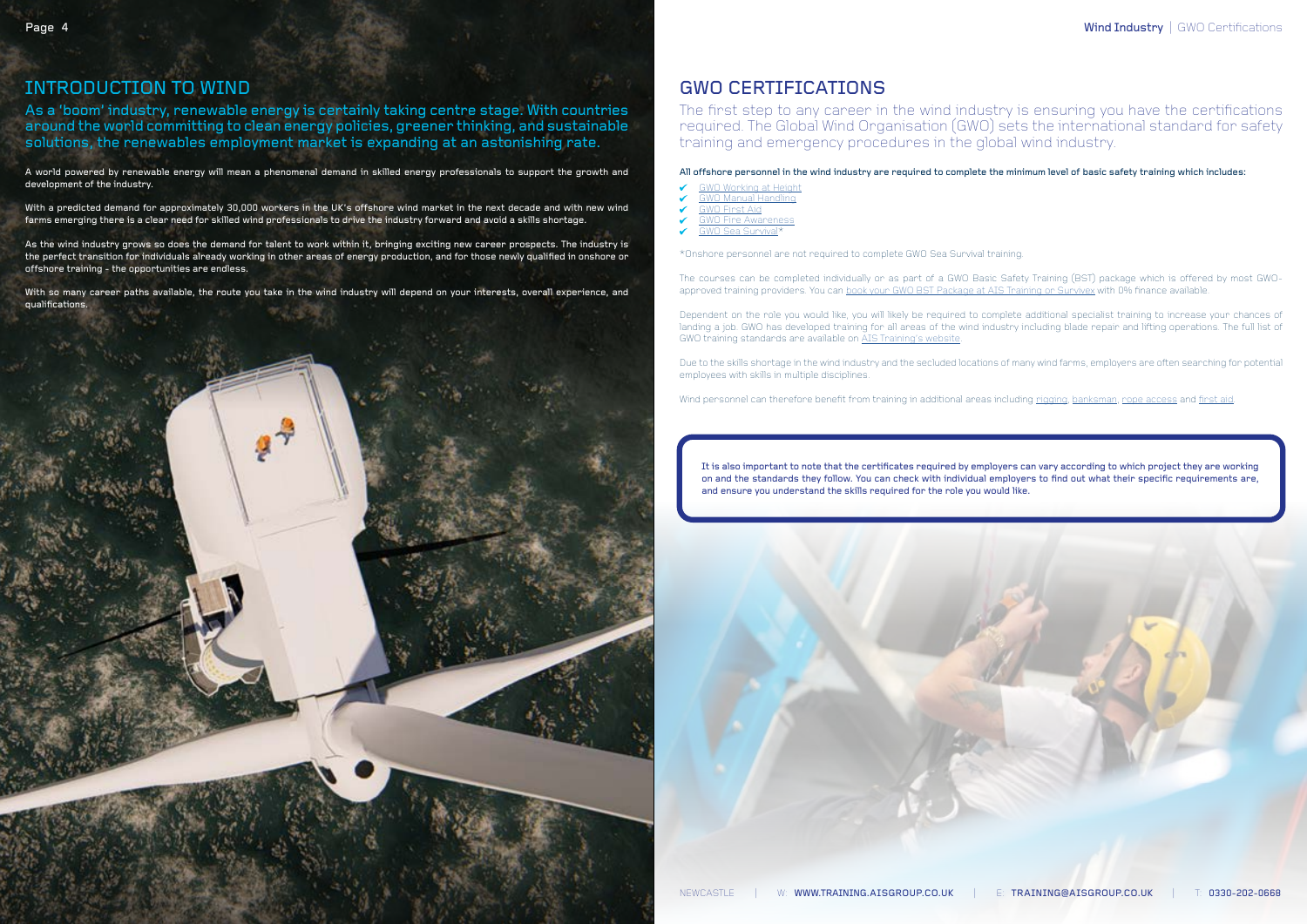### GWO CERTIFICATIONS

The first step to any career in the wind industry is ensuring you have the certifications required. The Global Wind Organisation (GWO) sets the international standard for safety training and emergency procedures in the global wind industry.

### All offshore personnel in the wind industry are required to complete the minimum level of basic safety training which includes:

- [GWO Working at Height](https://training.aisgroup.co.uk/course-details/7377/gwo-working-at-height)
- [GWO Manual Handling](https://training.aisgroup.co.uk/course-details/7375/gwo-manual-handling)
- [GWO First Aid](https://training.aisgroup.co.uk/course-details/7374/gwo-first-aid)
- [GWO Fire Awareness](https://training.aisgroup.co.uk/course-details/7376/gwo-fire-awareness)
- [GWO Sea Survival\\*](https://training.aisgroup.co.uk/course-details/7371/gwo-sea-survival)

\*Onshore personnel are not required to complete GWO Sea Survival training.

The courses can be completed individually or as part of a GWO Basic Safety Training (BST) package which is offered by most GWOapproved training providers. You can [book your GWO BST Package at AIS Training or Survivex](https://training.aisgroup.co.uk/course-details/10848/gwo-basic-safety-training-bst-package) with 0% finance available.

Dependent on the role you would like, you will likely be required to complete additional specialist training to increase your chances of landing a job. GWO has developed training for all areas of the wind industry including blade repair and lifting operations. The full list of GWO training standards are available on [AIS Training's website.](https://training.aisgroup.co.uk/courses/skills/renewables-and-wind-energy)

Due to the skills shortage in the wind industry and the secluded locations of many wind farms, employers are often searching for potential employees with skills in multiple disciplines.

Wind personnel can therefore benefit from training in additional areas including [rigging](https://training.aisgroup.co.uk/course-details/7/opito-rigger-training-stage-1), [banksman,](https://training.aisgroup.co.uk/course-details/4/opito-banksman-and-slinger-training-stage-1) [rope access](https://training.aisgroup.co.uk/course-details/5/irata-rope-access-level-1-2-or-3) and [first aid.](https://training.aisgroup.co.uk/course-details/10303/gwo-enhanced-first-aid-efa)

### INTRODUCTION TO WIND

As a 'boom' industry, renewable energy is certainly taking centre stage. With countries around the world committing to clean energy policies, greener thinking, and sustainable solutions, the renewables employment market is expanding at an astonishing rate.

A world powered by renewable energy will mean a phenomenal demand in skilled energy professionals to support the growth and development of the industry.

With a predicted demand for approximately 30,000 workers in the UK's offshore wind market in the next decade and with new wind farms emerging there is a clear need for skilled wind professionals to drive the industry forward and avoid a skills shortage.

As the wind industry grows so does the demand for talent to work within it, bringing exciting new career prospects. The industry is the perfect transition for individuals already working in other areas of energy production, and for those newly qualified in onshore or offshore training - the opportunities are endless.

With so many career paths available, the route you take in the wind industry will depend on your interests, overall experience, and qualifications.

> It is also important to note that the certificates required by employers can vary according to which project they are working on and the standards they follow. You can check with individual employers to find out what their specific requirements are, and ensure you understand the skills required for the role you would like.

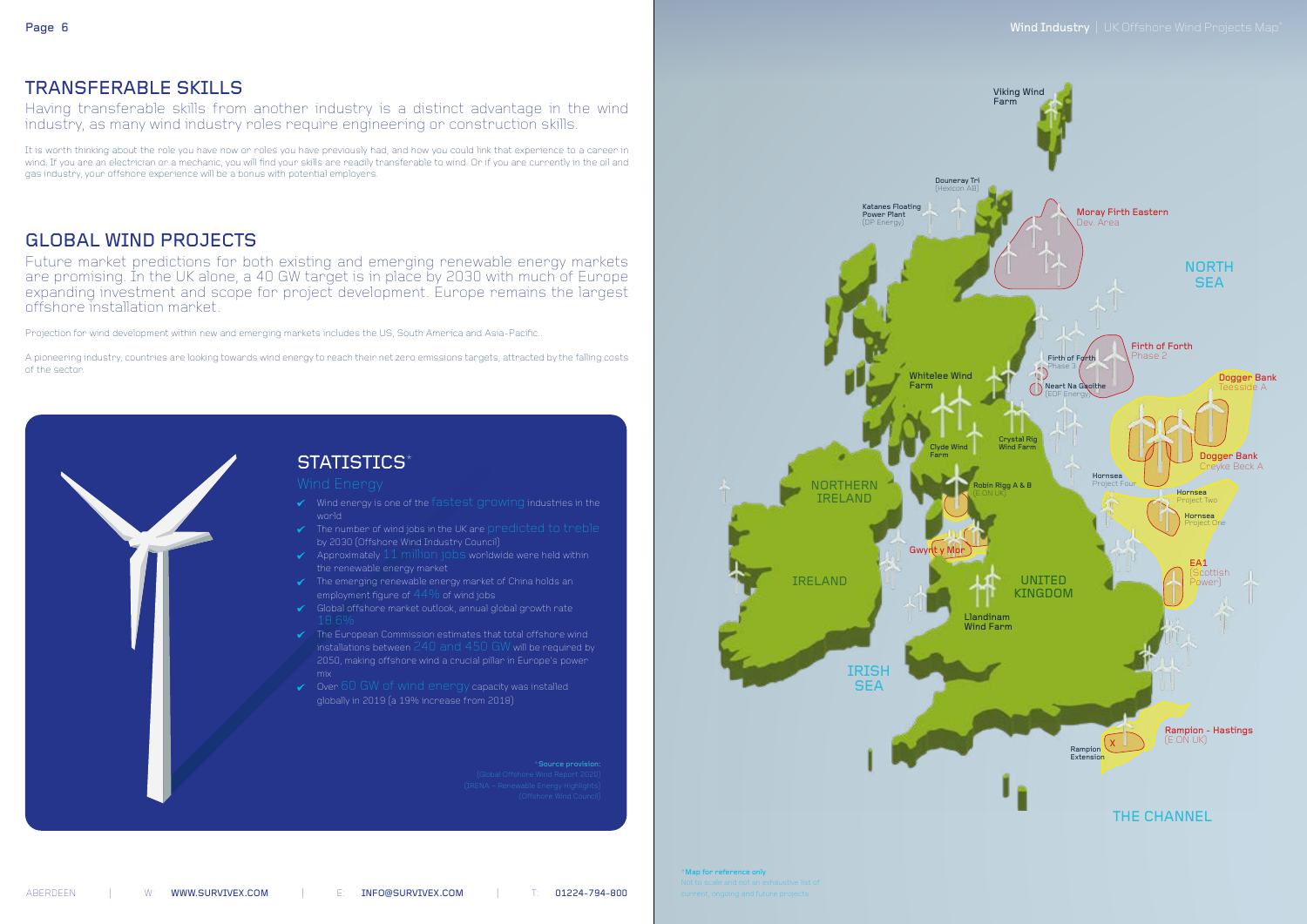### TRANSFERABLE SKILLS

Having transferable skills from another industry is a distinct advantage in the wind industry, as many wind industry roles require engineering or construction skills.

It is worth thinking about the role you have now or roles you have previously had, and how you could link that experience to a career in wind. If you are an electrician or a mechanic, you will find your skills are readily transferable to wind. Or if you are currently in the oil and gas industry, your offshore experience will be a bonus with potential employers.

### GLOBAL WIND PROJECTS

Future market predictions for both existing and emerging renewable energy markets are promising. In the UK alone, a 40 GW target is in place by 2030 with much of Europe expanding investment and scope for project development. Europe remains the largest offshore installation market.

- $\checkmark$  Wind energy is one of the fastest growing industries in the world
- $\checkmark$  The number of wind jobs in the UK are predicted to treble by 2030 (Offshore Wind Industry Council)
- $\blacktriangleright$  Approximately 11 million jobs worldwide were held within the renewable energy market
- $\checkmark$  The emerging renewable energy market of China holds an employment figure of  $44\%$  of wind jobs
- Global offshore market outlook, annual global growth rate
- $\checkmark$  The European Commission estimates that total offshore wind 2050, making offshore wind a crucial pillar in Europe's power
- $\checkmark$  Over 60 GW of wind energy capacity was installed globally in 2019 (a 19% increase from 2018)

 $*$ Source provision

Projection for wind development within new and emerging markets includes the US, South America and Asia-Pacific..

A pioneering industry, countries are looking towards wind energy to reach their net zero emissions targets, attracted by the falling costs of the sector.

> $^\star$ Map for reference only  $^-$ Not to scale and not an exhaustive list of





ABERDEEN | W: WWW.SURVIVEX.COM | E: INFO@SURVIVEX.COM | T: 01224-794-800

### Page 6 Mind Industry | UK Offshore Wind Projects Map<sup>\*</sup>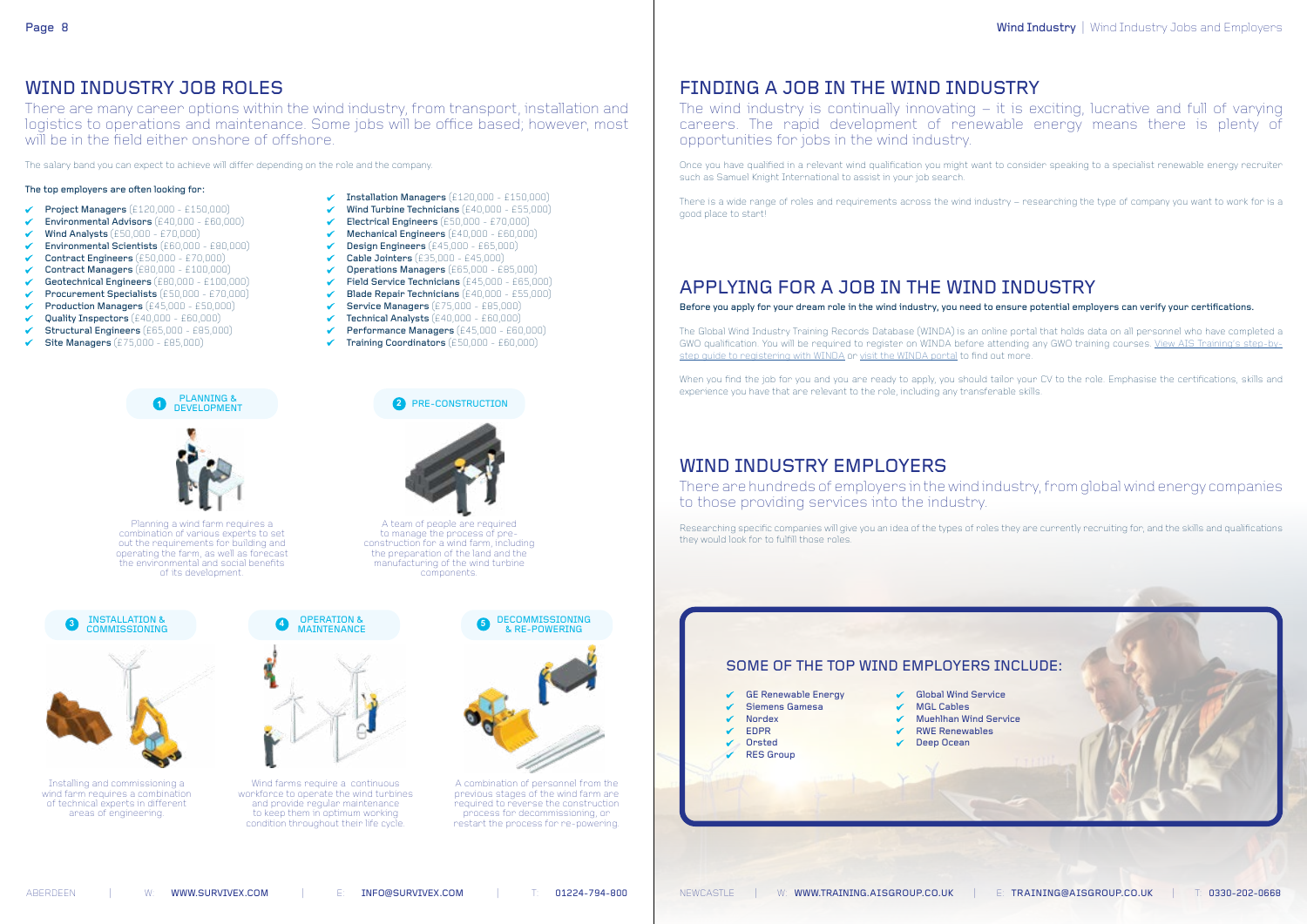## FINDING A JOB IN THE WIND INDUSTRY

The wind industry is continually innovating – it is exciting, lucrative and full of varying careers. The rapid development of renewable energy means there is plenty of opportunities for jobs in the wind industry.

Once you have qualified in a relevant wind qualification you might want to consider speaking to a specialist renewable energy recruiter such as Samuel Knight International to assist in your job search.

There is a wide range of roles and requirements across the wind industry – researching the type of company you want to work for is a good place to start!

## APPLYING FOR A JOB IN THE WIND INDUSTRY

Before you apply for your dream role in the wind industry, you need to ensure potential employers can verify your certifications.

The Global Wind Industry Training Records Database (WINDA) is an online portal that holds data on all personnel who have completed a GWO qualification. You will be required to register on WINDA before attending any GWO training courses. [View AIS Training's step-by](https://training.aisgroup.co.uk/article-details/243/gwo-introduces-winda-how-to-register)[step guide to registering with WINDA](https://training.aisgroup.co.uk/article-details/243/gwo-introduces-winda-how-to-register) or [visit the WINDA portal](https://winda.globalwindsafety.org/) to find out more.

- Installation Managers (£120,000 £150,000)
- $\nV$  Wind Turbine Technicians (£40,000 £55,000)
- Electrical Engineers  $(£50,000 £70,000)$
- Mechanical Engineers (£40,000 £60,000)  $\checkmark$
- $\triangledown$  Design Engineers  $(£45,000 £65,000)$
- Cable Jointers (£35,000 £45,000)  $\checkmark$
- Operations Managers (£65,000 £85,000)  $\checkmark$
- $\checkmark$  Field Service Technicians (£45,000 £65,000)
- Blade Repair Technicians (£40,000 £55,000)  $\checkmark$
- $\checkmark$ **Service Managers** (£75,000 - £85,000)
- $\checkmark$  Technical Analysts (£40,000 £60,000)

When you find the job for you and you are ready to apply, you should tailor your CV to the role. Emphasise the certifications, skills and experience you have that are relevant to the role, including any transferable skills.

### WIND INDUSTRY JOB ROLES

There are many career options within the wind industry, from transport, installation and logistics to operations and maintenance. Some jobs will be office based; however, most will be in the field either onshore of offshore.

The salary band you can expect to achieve will differ depending on the role and the company.

### The top employers are often looking for:

- Project Managers (£120,000 £150,000)  $\checkmark$
- Environmental Advisors (£40,000 £60,000)
- Wind Analysts (£50,000 £70,000)
- Environmental Scientists (£60,000 £80,000)
- Contract Engineers (£50,000 £70,000)
- Contract Managers (£80,000 £100,000) ✓
- $\checkmark$ Geotechnical Engineers (£80,000 - £100,000)
- Procurement Specialists (£50,000 £70,000)  $\checkmark$
- Production Managers (£45,000 £50,000)
- Quality Inspectors (£40,000 £60,000)  $\checkmark$
- Structural Engineers (£65,000 £85,000)
- Site Managers (£75,000 £85,000)



OPERATION &

**2**

◆ Performance Managers (£45,000 - £60,000)

PRE-CONSTRUCTION

Planning a wind farm requires a combination of various experts to set out the requirements for building and operating the farm, as well as forecast the environmental and social benefits of its development.



Installing and commissioning a wind farm requires a combination of technical experts in different areas of engineering.



A team of people are required to manage the process of preconstruction for a wind farm, including the preparation of the land and the manufacturing of the wind turbine components.

 $\checkmark$  Training Coordinators (£50,000 - £60,000)

Wind farms require a continuous workforce to operate the wind turbines and provide regular maintenance to keep them in optimum working condition throughout their life cycle.



A combination of personnel from the previous stages of the wind farm are required to reverse the construction process for decommissioning, or restart the process for re-powering.

## WIND INDUSTRY EMPLOYERS

There are hundreds of employers in the wind industry, from global wind energy companies to those providing services into the industry.

Researching specific companies will give you an idea of the types of roles they are currently recruiting for, and the skills and qualifications they would look for to fulfill those roles.



ABERDEEN | W: WWW.SURVIVEX.COM | E: INFO@SURVIVEX.COM | T: 01224-794-800

Wind Industry | Wind Industry Jobs and Employers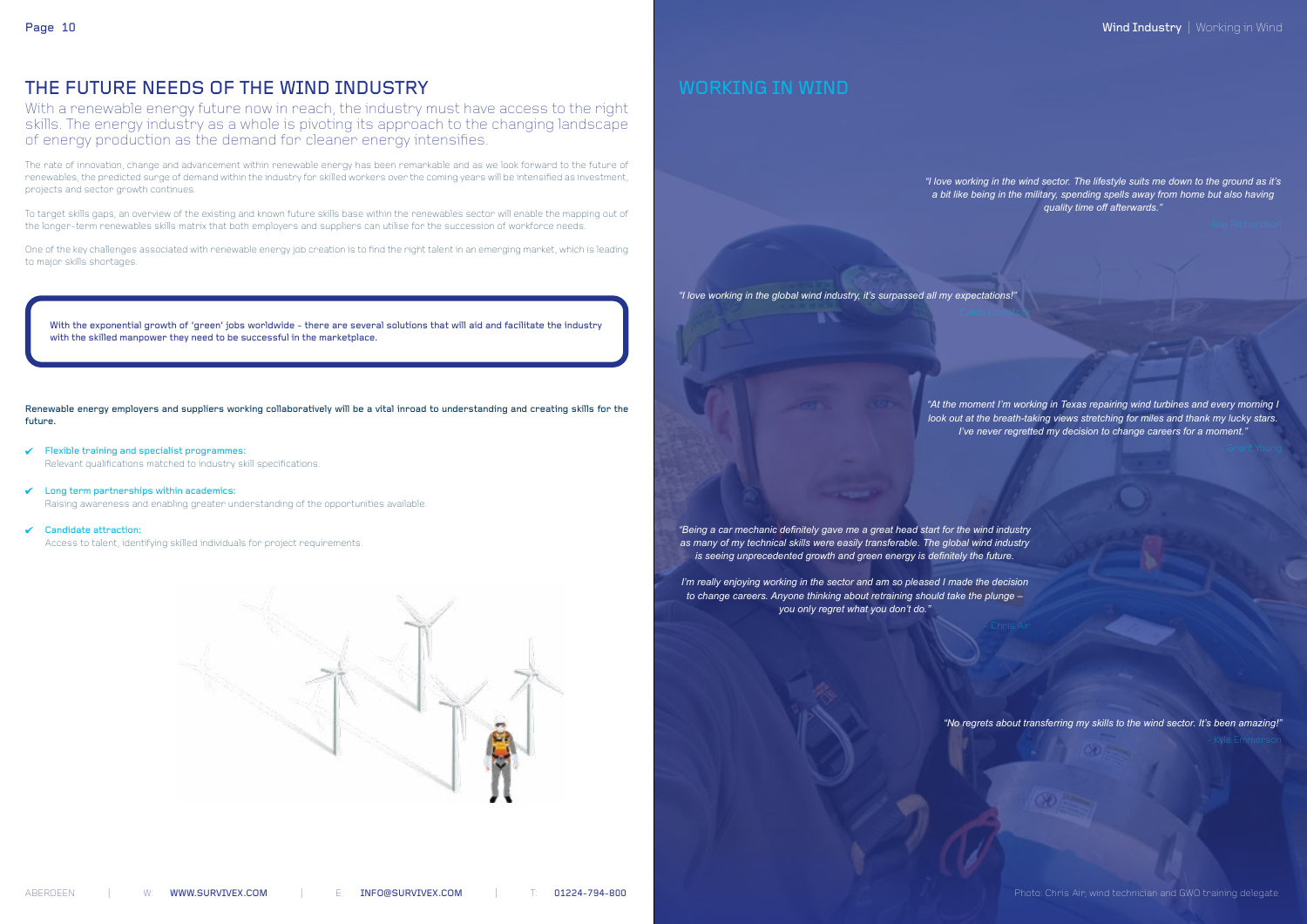*"I love working in the wind sector. The lifestyle suits me down to the ground as it's a bit like being in the military, spending spells away from home but also having quality time off afterwards."*

*"I love working in the global wind industry, it's surpassed all my expectations!"*

*"At the moment I'm working in Texas repairing wind turbines and every morning I look out at the breath-taking views stretching for miles and thank my lucky stars. I've never regretted my decision to change careers for a moment."*

*"Being a car mechanic definitely gave me a great head start for the wind industry as many of my technical skills were easily transferable. The global wind industry is seeing unprecedented growth and green energy is definitely the future.* 

*I'm really enjoying working in the sector and am so pleased I made the decision to change careers. Anyone thinking about retraining should take the plunge – you only regret what you don't do."*

*"No regrets about transferring my skills to the wind sector. It's been amazing!"*

### THE FUTURE NEEDS OF THE WIND INDUSTRY

- $\checkmark$  Flexible training and specialist programmes: Relevant qualifications matched to industry skill specifications.
- Long term partnerships within academics:  $\checkmark$ Raising awareness and enabling greater understanding of the opportunities available.
- $\checkmark$ Candidate attraction:

With a renewable energy future now in reach, the industry must have access to the right skills. The energy industry as a whole is pivoting its approach to the changing landscape of energy production as the demand for cleaner energy intensifies.

With the exponential growth of 'green' jobs worldwide - there are several solutions that will aid and facilitate the industry with the skilled manpower they need to be successful in the marketplace.

The rate of innovation, change and advancement within renewable energy has been remarkable and as we look forward to the future of renewables, the predicted surge of demand within the industry for skilled workers over the coming years will be intensified as investment, projects and sector growth continues.

To target skills gaps, an overview of the existing and known future skills base within the renewables sector will enable the mapping out of the longer-term renewables skills matrix that both employers and suppliers can utilise for the succession of workforce needs.

One of the key challenges associated with renewable energy job creation is to find the right talent in an emerging market, which is leading to major skills shortages.

Renewable energy employers and suppliers working collaboratively will be a vital inroad to understanding and creating skills for the future.

Access to talent, identifying skilled individuals for project requirements.